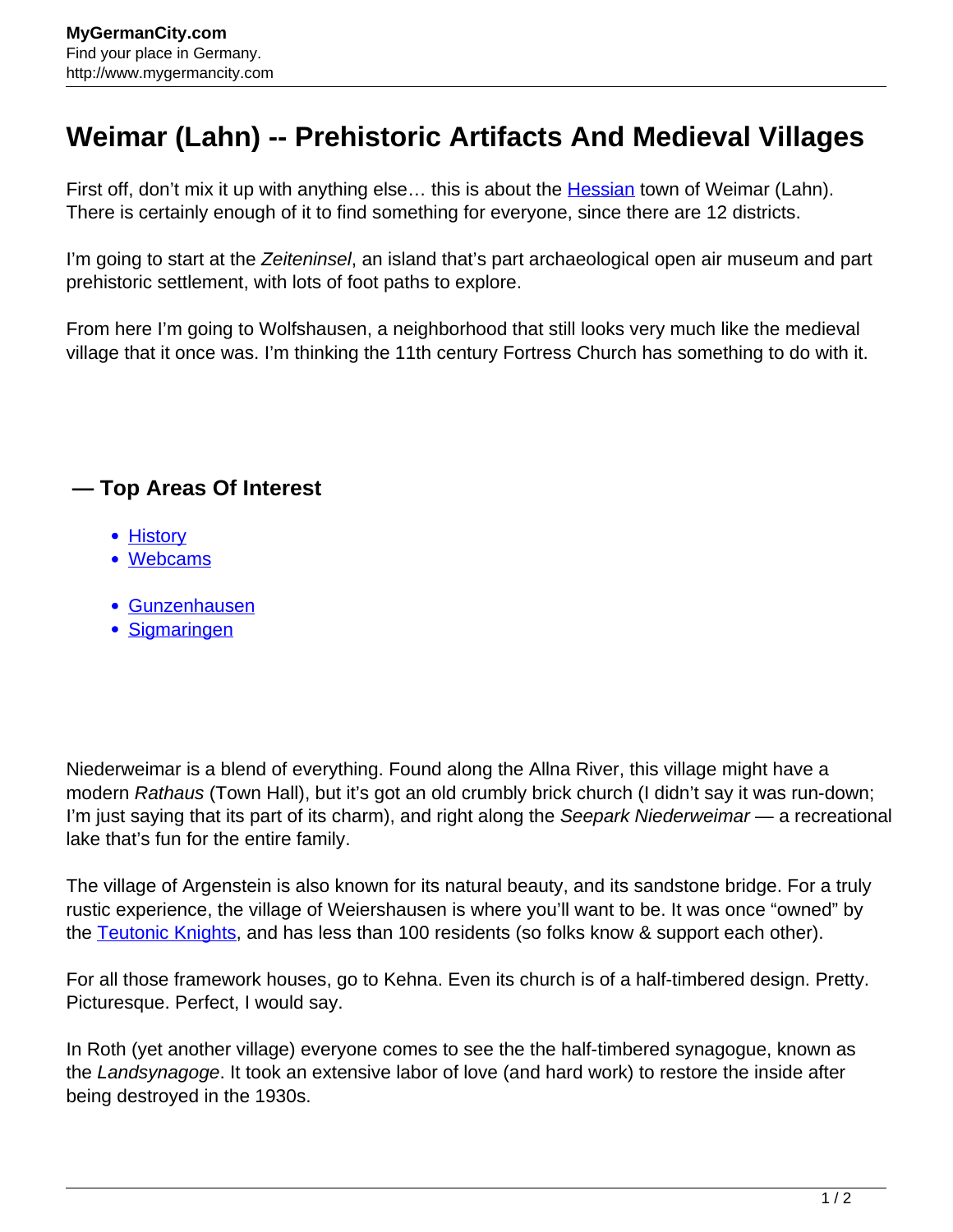## **Weimar (Lahn) -- Prehistoric Artifacts And Medieval Villages**

First off, don't mix it up with anything else... this is about the **Hessian** town of Weimar (Lahn). There is certainly enough of it to find something for everyone, since there are 12 districts.

I'm going to start at the Zeiteninsel, an island that's part archaeological open air museum and part prehistoric settlement, with lots of foot paths to explore.

From here I'm going to Wolfshausen, a neighborhood that still looks very much like the medieval village that it once was. I'm thinking the 11th century Fortress Church has something to do with it.

## **— Top Areas Of Interest**

- [History](http://www.mygermancity.com/leipzig-history)
- [Webcams](http://www.mygermancity.com/neustadt-holstein-webcams)
- [Gunzenhausen](http://www.mygermancity.com/gunzenhausen)
- [Sigmaringen](http://www.mygermancity.com/sigmaringen)

Niederweimar is a blend of everything. Found along the Allna River, this village might have a modern Rathaus (Town Hall), but it's got an old crumbly brick church (I didn't say it was run-down; I'm just saying that its part of its charm), and right along the Seepark Niederweimar — a recreational lake that's fun for the entire family.

The village of Argenstein is also known for its natural beauty, and its sandstone bridge. For a truly rustic experience, the village of Weiershausen is where you'll want to be. It was once "owned" by the [Teutonic Knights,](http://www.mygermancity.com/teutonic-knights) and has less than 100 residents (so folks know & support each other).

For all those framework houses, go to Kehna. Even its church is of a half-timbered design. Pretty. Picturesque. Perfect, I would say.

In Roth (yet another village) everyone comes to see the the half-timbered synagogue, known as the Landsynagoge. It took an extensive labor of love (and hard work) to restore the inside after being destroyed in the 1930s.